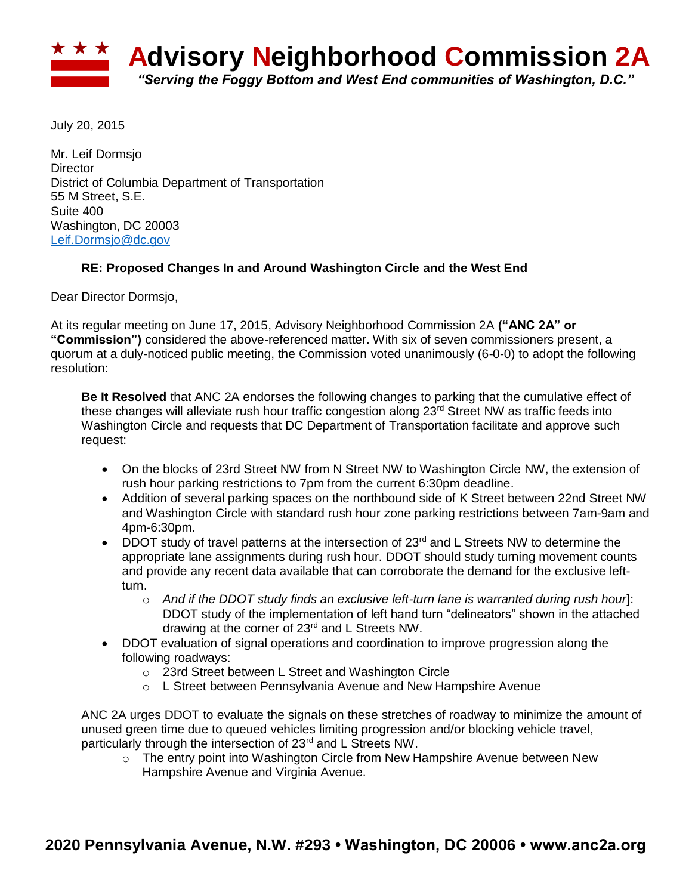

July 20, 2015

Mr. Leif Dormsjo **Director** District of Columbia Department of Transportation 55 M Street, S.E. Suite 400 Washington, DC 20003 [Leif.Dormsjo@dc.gov](mailto:Leif.Dormsjo@dc.gov)

## **RE: Proposed Changes In and Around Washington Circle and the West End**

Dear Director Dormsjo,

At its regular meeting on June 17, 2015, Advisory Neighborhood Commission 2A **("ANC 2A" or "Commission")** considered the above-referenced matter. With six of seven commissioners present, a quorum at a duly-noticed public meeting, the Commission voted unanimously (6-0-0) to adopt the following resolution:

**Be It Resolved** that ANC 2A endorses the following changes to parking that the cumulative effect of these changes will alleviate rush hour traffic congestion along 23<sup>rd</sup> Street NW as traffic feeds into Washington Circle and requests that DC Department of Transportation facilitate and approve such request:

- On the blocks of 23rd Street NW from N Street NW to Washington Circle NW, the extension of rush hour parking restrictions to 7pm from the current 6:30pm deadline.
- Addition of several parking spaces on the northbound side of K Street between 22nd Street NW and Washington Circle with standard rush hour zone parking restrictions between 7am-9am and 4pm-6:30pm.
- DDOT study of travel patterns at the intersection of  $23<sup>rd</sup>$  and L Streets NW to determine the appropriate lane assignments during rush hour. DDOT should study turning movement counts and provide any recent data available that can corroborate the demand for the exclusive leftturn.
	- o *And if the DDOT study finds an exclusive left-turn lane is warranted during rush hour*]: DDOT study of the implementation of left hand turn "delineators" shown in the attached drawing at the corner of 23<sup>rd</sup> and L Streets NW.
- DDOT evaluation of signal operations and coordination to improve progression along the following roadways:
	- o 23rd Street between L Street and Washington Circle
	- o L Street between Pennsylvania Avenue and New Hampshire Avenue

ANC 2A urges DDOT to evaluate the signals on these stretches of roadway to minimize the amount of unused green time due to queued vehicles limiting progression and/or blocking vehicle travel, particularly through the intersection of 23<sup>rd</sup> and L Streets NW.

 $\circ$  The entry point into Washington Circle from New Hampshire Avenue between New Hampshire Avenue and Virginia Avenue.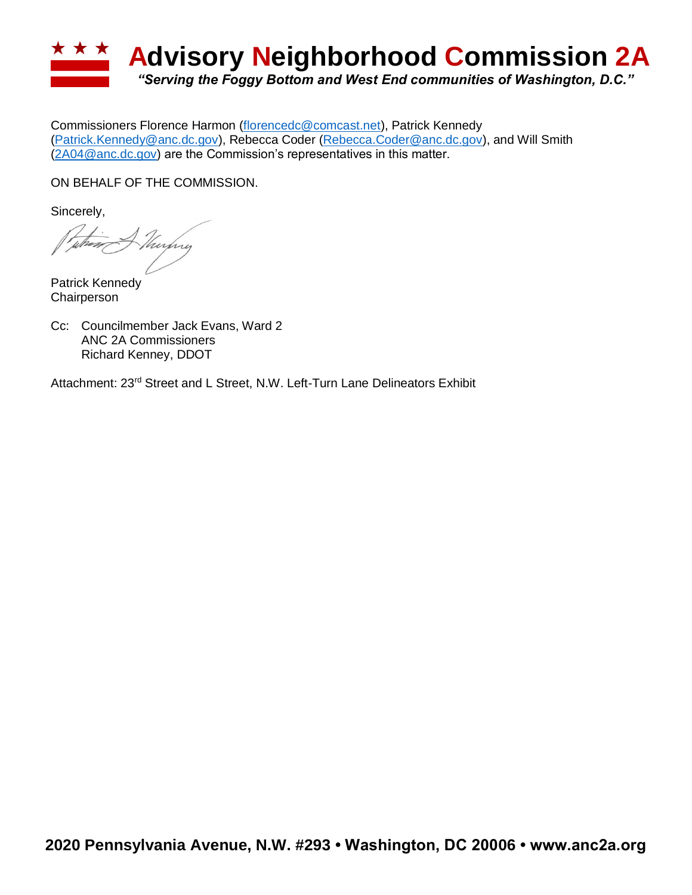

Commissioners Florence Harmon [\(florencedc@comcast.net\)](mailto:florencedc@comcast.net), Patrick Kennedy [\(Patrick.Kennedy@anc.dc.gov\)](mailto:Patrick.Kennedy@anc.dc.gov), Rebecca Coder [\(Rebecca.Coder@anc.dc.gov\)](mailto:Rebecca.Coder@anc.dc.gov), and Will Smith [\(2A04@anc.dc.gov\)](mailto:2A04@anc.dc.gov) are the Commission's representatives in this matter.

ON BEHALF OF THE COMMISSION.

Sincerely,

Kurfing

Patrick Kennedy **Chairperson** 

Cc: Councilmember Jack Evans, Ward 2 ANC 2A Commissioners Richard Kenney, DDOT

Attachment: 23<sup>rd</sup> Street and L Street, N.W. Left-Turn Lane Delineators Exhibit